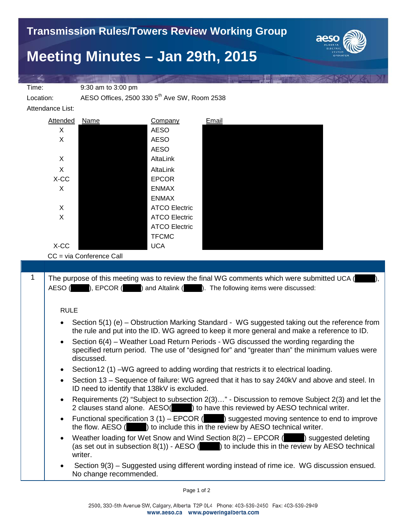

## **Meeting Minutes – Jan 29th, 2015**

Time: 9:30 am to 3:00 pm

Location: AESO Offices, 2500 330 5<sup>th</sup> Ave SW, Room 2538

Attendance List:

| Attended | Name | Company              | Email |
|----------|------|----------------------|-------|
| X        |      | <b>AESO</b>          |       |
| X        |      | <b>AESO</b>          |       |
|          |      | <b>AESO</b>          |       |
| X        |      | AltaLink             |       |
| X        |      | AltaLink             |       |
| X-CC     |      | <b>EPCOR</b>         |       |
| X        |      | <b>ENMAX</b>         |       |
|          |      | <b>ENMAX</b>         |       |
| X        |      | <b>ATCO Electric</b> |       |
| X        |      | <b>ATCO Electric</b> |       |
|          |      | <b>ATCO Electric</b> |       |
|          |      | <b>TFCMC</b>         |       |
| X-CC     |      | <b>UCA</b>           |       |

CC = via Conference Call

1 The purpose of this meeting was to review the final WG comments which were submitted UCA ( AESO ( $\Box$ ), EPCOR ( $\Box$ ) and Altalink ( $\Box$ ). The following items were discussed: RULE • Section 5(1) (e) – Obstruction Marking Standard - WG suggested taking out the reference from the rule and put into the ID. WG agreed to keep it more general and make a reference to ID. • Section 6(4) – Weather Load Return Periods - WG discussed the wording regarding the specified return period. The use of "designed for" and "greater than" the minimum values were discussed. Section 12 (1) – WG agreed to adding wording that restricts it to electrical loading. • Section 13 – Sequence of failure: WG agreed that it has to say 240kV and above and steel. In ID need to identify that 138kV is excluded. • Requirements (2) "Subject to subsection 2(3)…" - Discussion to remove Subject 2(3) and let the 2 clauses stand alone. AESO(**Dec**) to have this reviewed by AESO technical writer. Functional specification 3 (1) – EPCOR  $($   $)$  suggested moving sentence to end to improve the flow. AESO (\_\_\_\_\_) to include this in the review by AESO technical writer. Weather loading for Wet Snow and Wind Section  $8(2)$  – EPCOR ( $\Box$ ) suggested deleting (as set out in subsection  $8(1)$ ) - AESO ( $\Box$ ) to include this in the review by AESO technical writer. • Section 9(3) – Suggested using different wording instead of rime ice. WG discussion ensued. No change recommended.

Page 1 of 2